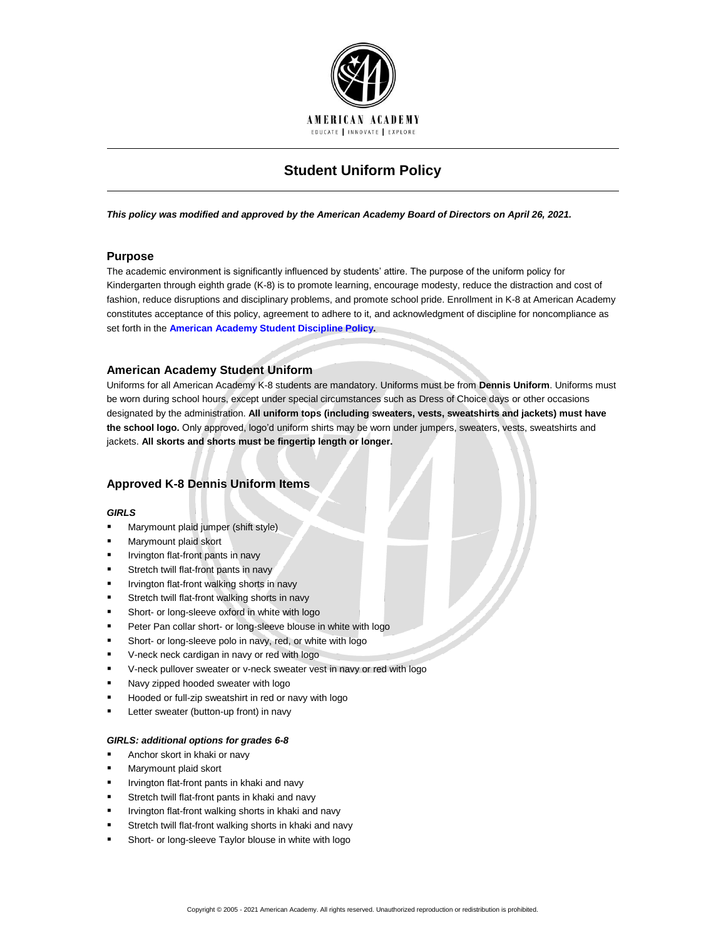

# **Student Uniform Policy**

*This policy was modified and approved by the American Academy Board of Directors on April 26, 2021.*

# **Purpose**

The academic environment is significantly influenced by students' attire. The purpose of the uniform policy for Kindergarten through eighth grade (K-8) is to promote learning, encourage modesty, reduce the distraction and cost of fashion, reduce disruptions and disciplinary problems, and promote school pride. Enrollment in K-8 at American Academy constitutes acceptance of this policy, agreement to adhere to it, and acknowledgment of discipline for noncompliance as set forth in the **[American Academy Student Discipline Policy.](http://www.americanacademyk8.org/aastaffhome/bod/policies/StudentDisciplinePolicy.pdf)**

# **American Academy Student Uniform**

Uniforms for all American Academy K-8 students are mandatory. Uniforms must be from **Dennis Uniform**. Uniforms must be worn during school hours, except under special circumstances such as Dress of Choice days or other occasions designated by the administration. **All uniform tops (including sweaters, vests, sweatshirts and jackets) must have the school logo.** Only approved, logo'd uniform shirts may be worn under jumpers, sweaters, vests, sweatshirts and jackets. **All skorts and shorts must be fingertip length or longer.**

# **Approved K-8 Dennis Uniform Items**

#### *GIRLS*

- Marymount plaid jumper (shift style)
- Marymount plaid skort
- Irvington flat-front pants in navy
- Stretch twill flat-front pants in navy
- Irvington flat-front walking shorts in navy
- Stretch twill flat-front walking shorts in navy
- Short- or long-sleeve oxford in white with logo
- Peter Pan collar short- or long-sleeve blouse in white with logo
- Short- or long-sleeve polo in navy, red, or white with logo
- V-neck neck cardigan in navy or red with logo
- V-neck pullover sweater or v-neck sweater vest in navy or red with logo
- Navy zipped hooded sweater with logo
- Hooded or full-zip sweatshirt in red or navy with logo
- Letter sweater (button-up front) in navy

### *GIRLS: additional options for grades 6-8*

- Anchor skort in khaki or navy
- Marymount plaid skort
- Irvington flat-front pants in khaki and navy
- Stretch twill flat-front pants in khaki and navy
- Irvington flat-front walking shorts in khaki and navy
- Stretch twill flat-front walking shorts in khaki and navy
- Short- or long-sleeve Taylor blouse in white with logo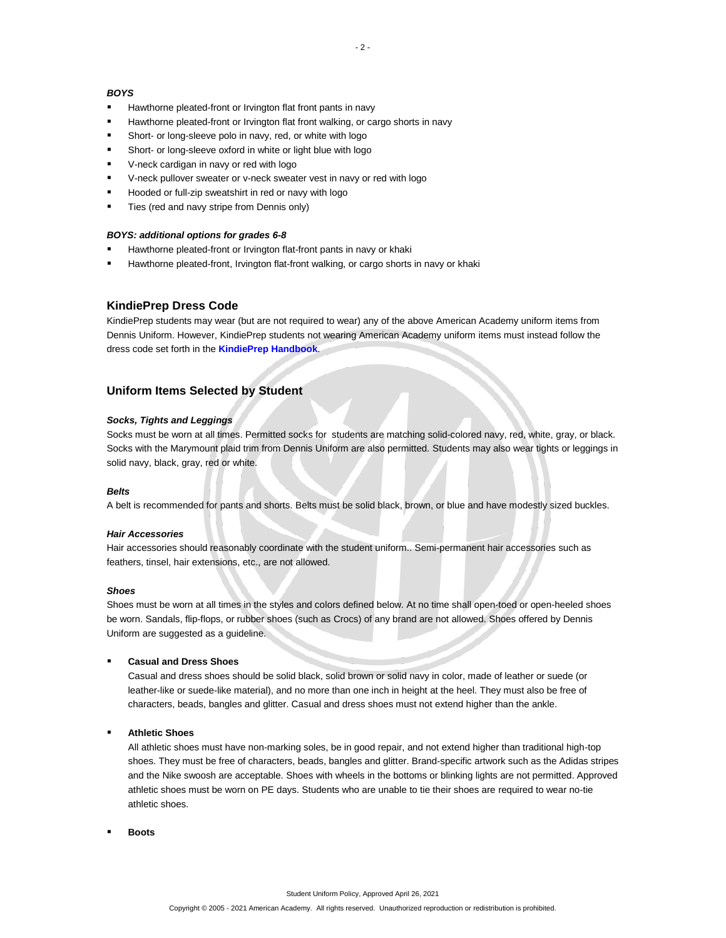### *BOYS*

- Hawthorne pleated-front or Irvington flat front pants in navy
- Hawthorne pleated-front or Irvington flat front walking, or cargo shorts in navy
- Short- or long-sleeve polo in navy, red, or white with logo
- Short- or long-sleeve oxford in white or light blue with logo
- V-neck cardigan in navy or red with logo
- V-neck pullover sweater or v-neck sweater vest in navy or red with logo
- Hooded or full-zip sweatshirt in red or navy with logo
- Ties (red and navy stripe from Dennis only)

### *BOYS: additional options for grades 6-8*

- Hawthorne pleated-front or Irvington flat-front pants in navy or khaki
- Hawthorne pleated-front, Irvington flat-front walking, or cargo shorts in navy or khaki

### **KindiePrep Dress Code**

KindiePrep students may wear (but are not required to wear) any of the above American Academy uniform items from Dennis Uniform. However, KindiePrep students not wearing American Academy uniform items must instead follow the dress code set forth in the **[KindiePrep Handbook](http://www.americanacademyk8.org/aastaffhome/bod/forms/kindieprep/KindiePrepParentHandbook.pdf)**.

# **Uniform Items Selected by Student**

# *Socks, Tights and Leggings*

Socks must be worn at all times. Permitted socks for students are matching solid-colored navy, red, white, gray, or black. Socks with the Marymount plaid trim from Dennis Uniform are also permitted. Students may also wear tights or leggings in solid navy, black, gray, red or white.

#### *Belts*

A belt is recommended for pants and shorts. Belts must be solid black, brown, or blue and have modestly sized buckles.

#### *Hair Accessories*

Hair accessories should reasonably coordinate with the student uniform.. Semi-permanent hair accessories such as feathers, tinsel, hair extensions, etc., are not allowed.

#### *Shoes*

Shoes must be worn at all times in the styles and colors defined below. At no time shall open-toed or open-heeled shoes be worn. Sandals, flip-flops, or rubber shoes (such as Crocs) of any brand are not allowed. Shoes offered by Dennis Uniform are suggested as a guideline.

#### ▪ **Casual and Dress Shoes**

Casual and dress shoes should be solid black, solid brown or solid navy in color, made of leather or suede (or leather-like or suede-like material), and no more than one inch in height at the heel. They must also be free of characters, beads, bangles and glitter. Casual and dress shoes must not extend higher than the ankle.

# **Athletic Shoes**

All athletic shoes must have non-marking soles, be in good repair, and not extend higher than traditional high-top shoes. They must be free of characters, beads, bangles and glitter. Brand-specific artwork such as the Adidas stripes and the Nike swoosh are acceptable. Shoes with wheels in the bottoms or blinking lights are not permitted. Approved athletic shoes must be worn on PE days. Students who are unable to tie their shoes are required to wear no-tie athletic shoes.

▪ **Boots**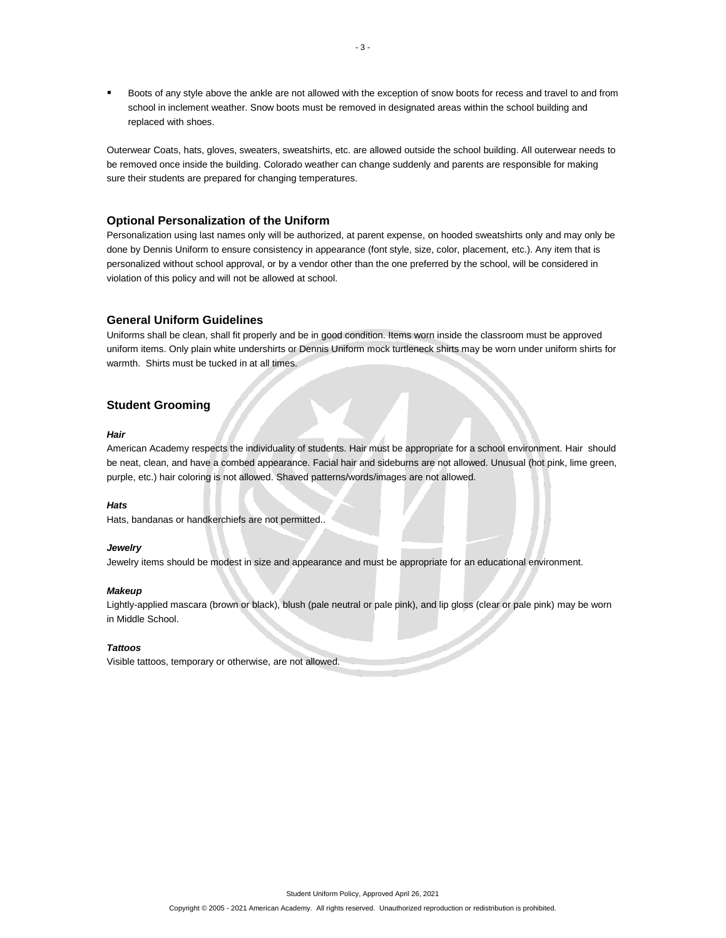Boots of any style above the ankle are not allowed with the exception of snow boots for recess and travel to and from school in inclement weather. Snow boots must be removed in designated areas within the school building and replaced with shoes.

Outerwear Coats, hats, gloves, sweaters, sweatshirts, etc. are allowed outside the school building. All outerwear needs to be removed once inside the building. Colorado weather can change suddenly and parents are responsible for making sure their students are prepared for changing temperatures.

# **Optional Personalization of the Uniform**

Personalization using last names only will be authorized, at parent expense, on hooded sweatshirts only and may only be done by Dennis Uniform to ensure consistency in appearance (font style, size, color, placement, etc.). Any item that is personalized without school approval, or by a vendor other than the one preferred by the school, will be considered in violation of this policy and will not be allowed at school.

# **General Uniform Guidelines**

Uniforms shall be clean, shall fit properly and be in good condition. Items worn inside the classroom must be approved uniform items. Only plain white undershirts or Dennis Uniform mock turtleneck shirts may be worn under uniform shirts for warmth. Shirts must be tucked in at all times.

# **Student Grooming**

#### *Hair*

American Academy respects the individuality of students. Hair must be appropriate for a school environment. Hair should be neat, clean, and have a combed appearance. Facial hair and sideburns are not allowed. Unusual (hot pink, lime green, purple, etc.) hair coloring is not allowed. Shaved patterns/words/images are not allowed.

#### *Hats*

Hats, bandanas or handkerchiefs are not permitted..

#### *Jewelry*

Jewelry items should be modest in size and appearance and must be appropriate for an educational environment.

#### *Makeup*

Lightly-applied mascara (brown or black), blush (pale neutral or pale pink), and lip gloss (clear or pale pink) may be worn in Middle School.

#### *Tattoos*

Visible tattoos, temporary or otherwise, are not allowed.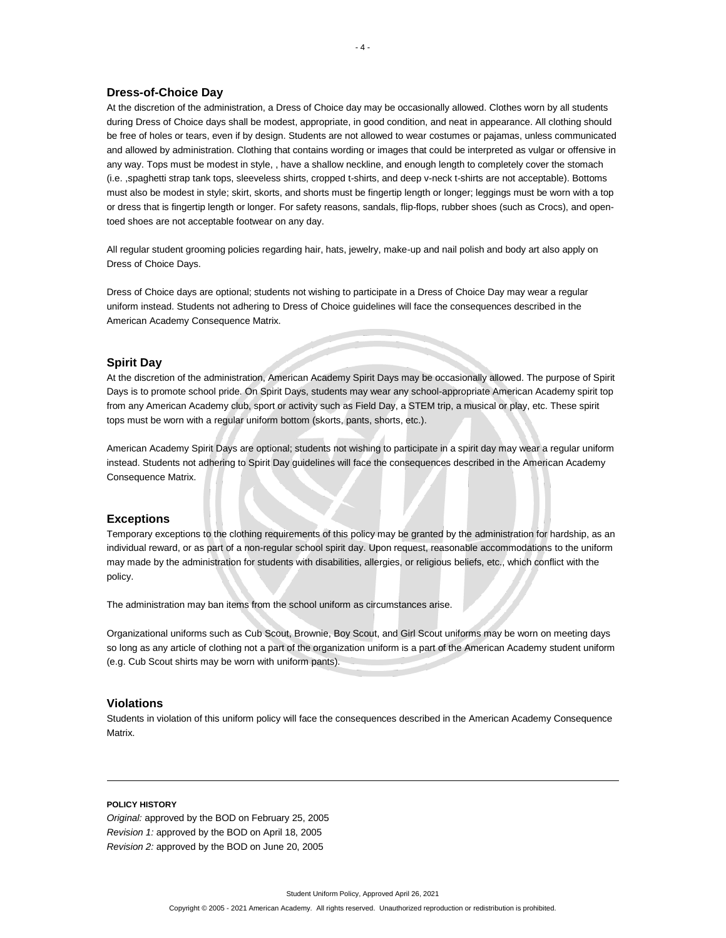### **Dress-of-Choice Day**

At the discretion of the administration, a Dress of Choice day may be occasionally allowed. Clothes worn by all students during Dress of Choice days shall be modest, appropriate, in good condition, and neat in appearance. All clothing should be free of holes or tears, even if by design. Students are not allowed to wear costumes or pajamas, unless communicated and allowed by administration. Clothing that contains wording or images that could be interpreted as vulgar or offensive in any way. Tops must be modest in style, , have a shallow neckline, and enough length to completely cover the stomach (i.e. ,spaghetti strap tank tops, sleeveless shirts, cropped t-shirts, and deep v-neck t-shirts are not acceptable). Bottoms must also be modest in style; skirt, skorts, and shorts must be fingertip length or longer; leggings must be worn with a top or dress that is fingertip length or longer. For safety reasons, sandals, flip-flops, rubber shoes (such as Crocs), and opentoed shoes are not acceptable footwear on any day.

All regular student grooming policies regarding hair, hats, jewelry, make-up and nail polish and body art also apply on Dress of Choice Days.

Dress of Choice days are optional; students not wishing to participate in a Dress of Choice Day may wear a regular uniform instead. Students not adhering to Dress of Choice guidelines will face the consequences described in the American Academy Consequence Matrix.

## **Spirit Day**

At the discretion of the administration, American Academy Spirit Days may be occasionally allowed. The purpose of Spirit Days is to promote school pride. On Spirit Days, students may wear any school-appropriate American Academy spirit top from any American Academy club, sport or activity such as Field Day, a STEM trip, a musical or play, etc. These spirit tops must be worn with a regular uniform bottom (skorts, pants, shorts, etc.).

American Academy Spirit Days are optional; students not wishing to participate in a spirit day may wear a regular uniform instead. Students not adhering to Spirit Day guidelines will face the consequences described in the American Academy Consequence Matrix.

### **Exceptions**

Temporary exceptions to the clothing requirements of this policy may be granted by the administration for hardship, as an individual reward, or as part of a non-regular school spirit day. Upon request, reasonable accommodations to the uniform may made by the administration for students with disabilities, allergies, or religious beliefs, etc., which conflict with the policy.

The administration may ban items from the school uniform as circumstances arise.

Organizational uniforms such as Cub Scout, Brownie, Boy Scout, and Girl Scout uniforms may be worn on meeting days so long as any article of clothing not a part of the organization uniform is a part of the American Academy student uniform (e.g. Cub Scout shirts may be worn with uniform pants).

# **Violations**

Students in violation of this uniform policy will face the consequences described in the American Academy Consequence Matrix.

### **POLICY HISTORY**

*Original:* approved by the BOD on February 25, 2005 *Revision 1:* approved by the BOD on April 18, 2005 *Revision 2:* approved by the BOD on June 20, 2005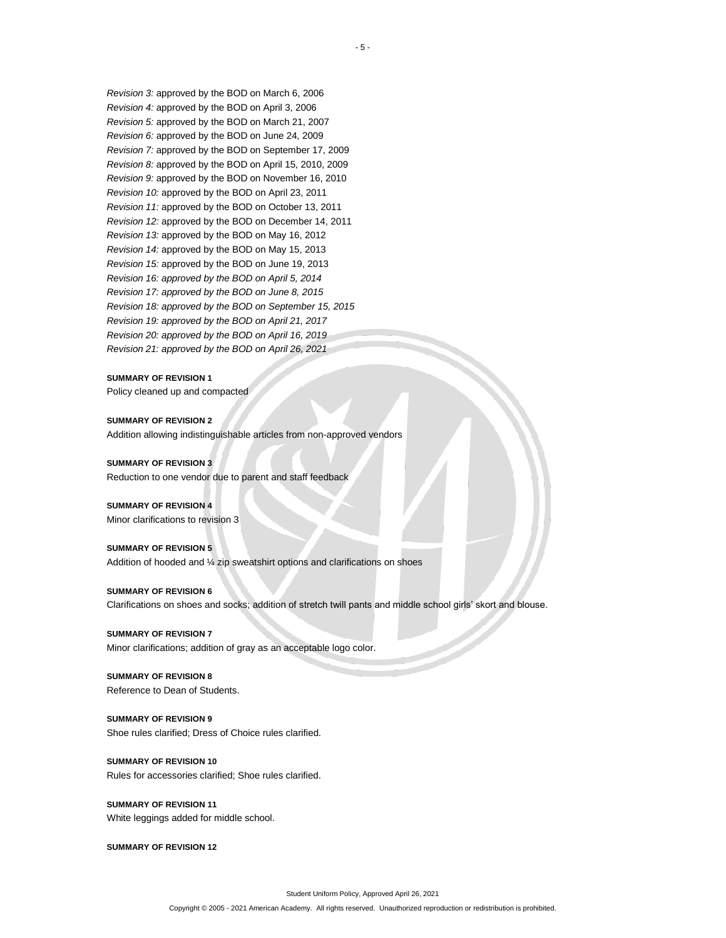*Revision 3:* approved by the BOD on March 6, 2006 *Revision 4:* approved by the BOD on April 3, 2006 *Revision 5:* approved by the BOD on March 21, 2007 *Revision 6:* approved by the BOD on June 24, 2009 *Revision 7:* approved by the BOD on September 17, 2009 *Revision 8:* approved by the BOD on April 15, 2010, 2009 *Revision 9:* approved by the BOD on November 16, 2010 *Revision 10:* approved by the BOD on April 23, 2011 *Revision 11:* approved by the BOD on October 13, 2011 *Revision 12:* approved by the BOD on December 14, 2011 *Revision 13:* approved by the BOD on May 16, 2012 *Revision 14:* approved by the BOD on May 15, 2013 *Revision 15:* approved by the BOD on June 19, 2013 *Revision 16: approved by the BOD on April 5, 2014 Revision 17: approved by the BOD on June 8, 2015 Revision 18: approved by the BOD on September 15, 2015 Revision 19: approved by the BOD on April 21, 2017 Revision 20: approved by the BOD on April 16, 2019 Revision 21: approved by the BOD on April 26, 2021*

#### **SUMMARY OF REVISION 1**

Policy cleaned up and compacted

## **SUMMARY OF REVISION 2** Addition allowing indistinguishable articles from non-approved vendors

**SUMMARY OF REVISION 3** Reduction to one vendor due to parent and staff feedback

#### **SUMMARY OF REVISION 4**

Minor clarifications to revision 3

#### **SUMMARY OF REVISION 5**

Addition of hooded and ¼ zip sweatshirt options and clarifications on shoes

#### **SUMMARY OF REVISION 6**

Clarifications on shoes and socks; addition of stretch twill pants and middle school girls' skort and blouse.

#### **SUMMARY OF REVISION 7**

Minor clarifications; addition of gray as an acceptable logo color.

# **SUMMARY OF REVISION 8**

Reference to Dean of Students.

## **SUMMARY OF REVISION 9** Shoe rules clarified; Dress of Choice rules clarified.

# **SUMMARY OF REVISION 10** Rules for accessories clarified; Shoe rules clarified.

**SUMMARY OF REVISION 11** White leggings added for middle school.

**SUMMARY OF REVISION 12**